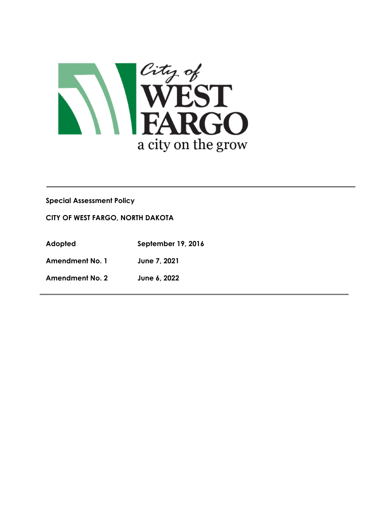

# **Special Assessment Policy**

#### **CITY OF WEST FARGO, NORTH DAKOTA**

**Adopted September 19, 2016**

**Amendment No. 1 June 7, 2021** 

**Amendment No. 2 June 6, 2022**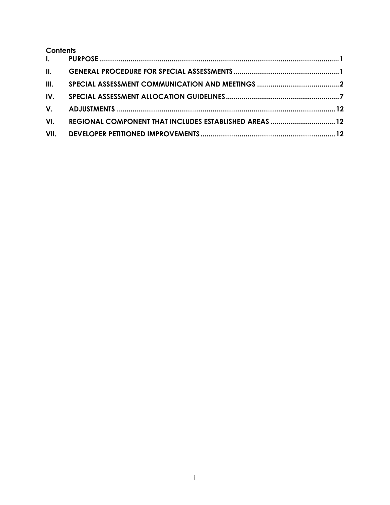# **Contents**

| VI. | REGIONAL COMPONENT THAT INCLUDES ESTABLISHED AREAS  12 |  |
|-----|--------------------------------------------------------|--|
|     |                                                        |  |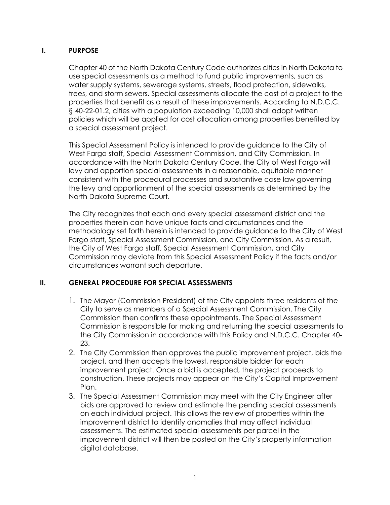# **I. PURPOSE**

Chapter 40 of the North Dakota Century Code authorizes cities in North Dakota to use special assessments as a method to fund public improvements, such as water supply systems, sewerage systems, streets, flood protection, sidewalks, trees, and storm sewers. Special assessments allocate the cost of a project to the properties that benefit as a result of these improvements. According to N.D.C.C. § 40-22-01.2, cities with a population exceeding 10,000 shall adopt written policies which will be applied for cost allocation among properties benefited by a special assessment project.

This Special Assessment Policy is intended to provide guidance to the City of West Fargo staff, Special Assessment Commission, and City Commission. In accordance with the North Dakota Century Code, the City of West Fargo will levy and apportion special assessments in a reasonable, equitable manner consistent with the procedural processes and substantive case law governing the levy and apportionment of the special assessments as determined by the North Dakota Supreme Court.

The City recognizes that each and every special assessment district and the properties therein can have unique facts and circumstances and the methodology set forth herein is intended to provide guidance to the City of West Fargo staff, Special Assessment Commission, and City Commission. As a result, the City of West Fargo staff, Special Assessment Commission, and City Commission may deviate from this Special Assessment Policy if the facts and/or circumstances warrant such departure.

## **II. GENERAL PROCEDURE FOR SPECIAL ASSESSMENTS**

- 1. The Mayor (Commission President) of the City appoints three residents of the City to serve as members of a Special Assessment Commission. The City Commission then confirms these appointments. The Special Assessment Commission is responsible for making and returning the special assessments to the City Commission in accordance with this Policy and N.D.C.C. Chapter 40- 23.
- 2. The City Commission then approves the public improvement project, bids the project, and then accepts the lowest, responsible bidder for each improvement project. Once a bid is accepted, the project proceeds to construction. These projects may appear on the City's Capital Improvement Plan.
- 3. The Special Assessment Commission may meet with the City Engineer after bids are approved to review and estimate the pending special assessments on each individual project. This allows the review of properties within the improvement district to identify anomalies that may affect individual assessments. The estimated special assessments per parcel in the improvement district will then be posted on the City's property information digital database.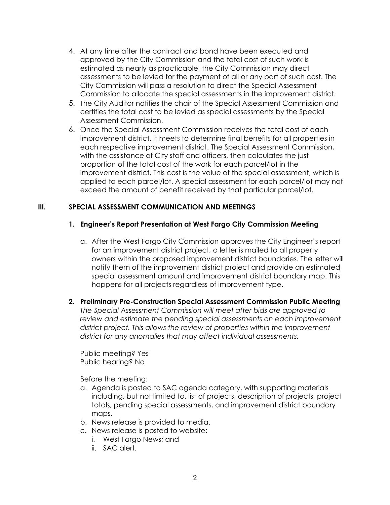- 4. At any time after the contract and bond have been executed and approved by the City Commission and the total cost of such work is estimated as nearly as practicable, the City Commission may direct assessments to be levied for the payment of all or any part of such cost. The City Commission will pass a resolution to direct the Special Assessment Commission to allocate the special assessments in the improvement district.
- 5. The City Auditor notifies the chair of the Special Assessment Commission and certifies the total cost to be levied as special assessments by the Special Assessment Commission.
- 6. Once the Special Assessment Commission receives the total cost of each improvement district, it meets to determine final benefits for all properties in each respective improvement district. The Special Assessment Commission, with the assistance of City staff and officers, then calculates the just proportion of the total cost of the work for each parcel/lot in the improvement district. This cost is the value of the special assessment, which is applied to each parcel/lot. A special assessment for each parcel/lot may not exceed the amount of benefit received by that particular parcel/lot.

# **III. SPECIAL ASSESSMENT COMMUNICATION AND MEETINGS**

## **1. Engineer's Report Presentation at West Fargo City Commission Meeting**

- a. After the West Fargo City Commission approves the City Engineer's report for an improvement district project, a letter is mailed to all property owners within the proposed improvement district boundaries. The letter will notify them of the improvement district project and provide an estimated special assessment amount and improvement district boundary map. This happens for all projects regardless of improvement type.
- **2. Preliminary Pre-Construction Special Assessment Commission Public Meeting** *The Special Assessment Commission will meet after bids are approved to review and estimate the pending special assessments on each improvement district project. This allows the review of properties within the improvement district for any anomalies that may affect individual assessments.*

Public meeting? Yes Public hearing? No

Before the meeting:

- a. Agenda is posted to SAC agenda category, with supporting materials including, but not limited to, list of projects, description of projects, project totals, pending special assessments, and improvement district boundary maps.
- b. News release is provided to media.
- c. News release is posted to website:
	- i. West Fargo News; and
	- ii. SAC alert.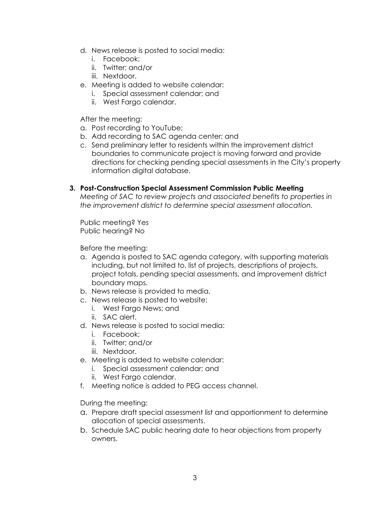- d. News release is posted to social media:
	- i. Facebook;
	- ii. Twitter; and/or
	- iii. Nextdoor.
- e. Meeting is added to website calendar:
	- i. Special assessment calendar; and
	- ii. West Fargo calendar.

After the meeting:

- a. Post recording to YouTube;
- b. Add recording to SAC agenda center; and
- c. Send preliminary letter to residents within the improvement district boundaries to communicate project is moving forward and provide directions for checking pending special assessments in the City's property information digital database.

#### **3. Post-Construction Special Assessment Commission Public Meeting**

*Meeting of SAC to review projects and associated benefits to properties in the improvement district to determine special assessment allocation.* 

Public meeting? Yes Public hearing? No

Before the meeting:

- a. Agenda is posted to SAC agenda category, with supporting materials including, but not limited to, list of projects, descriptions of projects, project totals, pending special assessments, and improvement district boundary maps.
- b. News release is provided to media.
- c. News release is posted to website:
	- i. West Fargo News; and
	- ii. SAC alert.
- d. News release is posted to social media:
	- i. Facebook;
	- ii. Twitter; and/or
	- iii. Nextdoor.
- e. Meeting is added to website calendar:
	- i. Special assessment calendar; and
	- ii. West Fargo calendar.
- f. Meeting notice is added to PEG access channel.

During the meeting:

- a. Prepare draft special assessment list and apportionment to determine allocation of special assessments.
- b. Schedule SAC public hearing date to hear objections from property owners.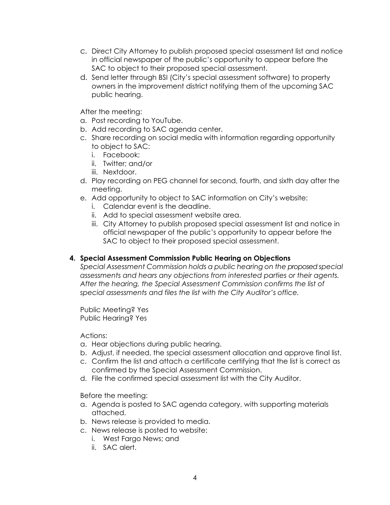- c. Direct City Attorney to publish proposed special assessment list and notice in official newspaper of the public's opportunity to appear before the SAC to object to their proposed special assessment.
- d. Send letter through BSI (City's special assessment software) to property owners in the improvement district notifying them of the upcoming SAC public hearing.

After the meeting:

- a. Post recording to YouTube.
- b. Add recording to SAC agenda center.
- c. Share recording on social media with information regarding opportunity to object to SAC:
	- i. Facebook;
	- ii. Twitter; and/or
	- iii. Nextdoor.
- d. Play recording on PEG channel for second, fourth, and sixth day after the meeting.
- e. Add opportunity to object to SAC information on City's website:
	- i. Calendar event is the deadline.
	- ii. Add to special assessment website area.
	- iii. City Attorney to publish proposed special assessment list and notice in official newspaper of the public's opportunity to appear before the SAC to object to their proposed special assessment.

# **4. Special Assessment Commission Public Hearing on Objections**

*Special Assessment Commission holds a public hearing on the proposed special assessments and hears any objections from interested parties or their agents. After the hearing, the Special Assessment Commission confirms the list of special assessments and files the list with the City Auditor's office.*

Public Meeting? Yes Public Hearing? Yes

Actions:

- a. Hear objections during public hearing.
- b. Adjust, if needed, the special assessment allocation and approve final list.
- c. Confirm the list and attach a certificate certifying that the list is correct as confirmed by the Special Assessment Commission.
- d. File the confirmed special assessment list with the City Auditor.

Before the meeting:

- a. Agenda is posted to SAC agenda category, with supporting materials attached.
- b. News release is provided to media.
- c. News release is posted to website:
	- i. West Fargo News; and
	- ii. SAC alert.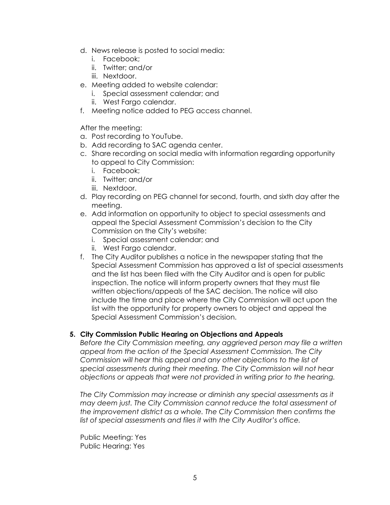- d. News release is posted to social media:
	- i. Facebook;
	- ii. Twitter; and/or
	- iii. Nextdoor.
- e. Meeting added to website calendar:
	- i. Special assessment calendar; and
	- ii. West Fargo calendar.
- f. Meeting notice added to PEG access channel.

After the meeting:

- a. Post recording to YouTube.
- b. Add recording to SAC agenda center.
- c. Share recording on social media with information regarding opportunity to appeal to City Commission:
	- i. Facebook;
	- ii. Twitter; and/or
	- iii. Nextdoor.
- d. Play recording on PEG channel for second, fourth, and sixth day after the meeting.
- e. Add information on opportunity to object to special assessments and appeal the Special Assessment Commission's decision to the City Commission on the City's website:
	- i. Special assessment calendar; and
	- ii. West Fargo calendar.
- f. The City Auditor publishes a notice in the newspaper stating that the Special Assessment Commission has approved a list of special assessments and the list has been filed with the City Auditor and is open for public inspection. The notice will inform property owners that they must file written objections/appeals of the SAC decision. The notice will also include the time and place where the City Commission will act upon the list with the opportunity for property owners to object and appeal the Special Assessment Commission's decision.

## **5. City Commission Public Hearing on Objections and Appeals**

*Before the City Commission meeting, any aggrieved person may file a written appeal from the action of the Special Assessment Commission. The City Commission will hear this appeal and any other objections to the list of special assessments during their meeting. The City Commission will not hear objections or appeals that were not provided in writing prior to the hearing.* 

*The City Commission may increase or diminish any special assessments as it may deem just. The City Commission cannot reduce the total assessment of the improvement district as a whole. The City Commission then confirms the list of special assessments and files it with the City Auditor's office.* 

Public Meeting: Yes Public Hearing: Yes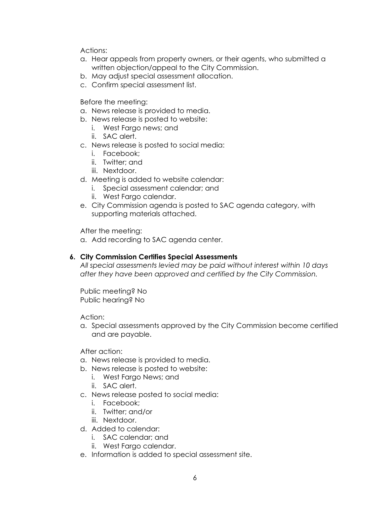Actions:

- a. Hear appeals from property owners, or their agents, who submitted a written objection/appeal to the City Commission.
- b. May adjust special assessment allocation.
- c. Confirm special assessment list.

Before the meeting:

- a. News release is provided to media.
- b. News release is posted to website:
	- i. West Fargo news; and
	- ii. SAC alert.
- c. News release is posted to social media:
	- i. Facebook;
	- ii. Twitter; and
	- iii. Nextdoor.
- d. Meeting is added to website calendar:
	- i. Special assessment calendar; and
	- ii. West Fargo calendar.
- e. City Commission agenda is posted to SAC agenda category, with supporting materials attached.

After the meeting:

a. Add recording to SAC agenda center.

#### **6. City Commission Certifies Special Assessments**

*All special assessments levied may be paid without interest within 10 days after they have been approved and certified by the City Commission.*

Public meeting? No Public hearing? No

Action:

a. Special assessments approved by the City Commission become certified and are payable.

After action:

- a. News release is provided to media.
- b. News release is posted to website:
	- i. West Fargo News; and
	- ii. SAC alert.
- c. News release posted to social media:
	- i. Facebook;
	- ii. Twitter; and/or
	- iii. Nextdoor.
- d. Added to calendar:
	- i. SAC calendar; and
	- ii. West Fargo calendar.
- e. Information is added to special assessment site.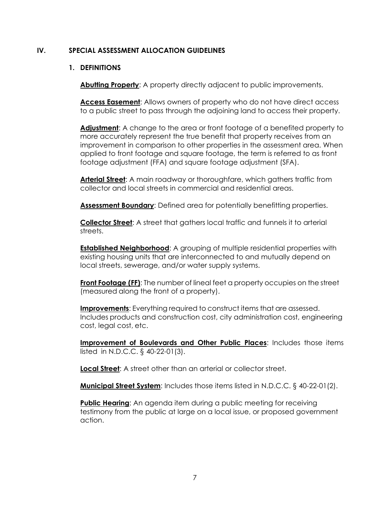#### **IV. SPECIAL ASSESSMENT ALLOCATION GUIDELINES**

#### **1. DEFINITIONS**

**Abutting Property**: A property directly adjacent to public improvements.

**Access Easement**: Allows owners of property who do not have direct access to a public street to pass through the adjoining land to access their property.

**Adjustment**: A change to the area or front footage of a benefited property to more accurately represent the true benefit that property receives from an improvement in comparison to other properties in the assessment area. When applied to front footage and square footage, the term is referred to as front footage adjustment (FFA) and square footage adjustment (SFA).

**Arterial Street**: A main roadway or thoroughfare, which gathers traffic from collector and local streets in commercial and residential areas.

**Assessment Boundary**: Defined area for potentially benefitting properties.

**Collector Street**: A street that gathers local traffic and funnels it to arterial streets.

**Established Neighborhood:** A grouping of multiple residential properties with existing housing units that are interconnected to and mutually depend on local streets, sewerage, and/or water supply systems.

**Front Footage (FF)**: The number of lineal feet a property occupies on the street (measured along the front of a property).

**Improvements**: Everything required to construct items that are assessed. Includes products and construction cost, city administration cost, engineering cost, legal cost, etc.

**Improvement of Boulevards and Other Public Places**: Includes those items listed in N.D.C.C. § 40-22-01(3).

**Local Street**: A street other than an arterial or collector street.

**Municipal Street System**: Includes those items listed in N.D.C.C. § 40-22-01(2).

**Public Hearing:** An agenda item during a public meeting for receiving testimony from the public at large on a local issue, or proposed government action.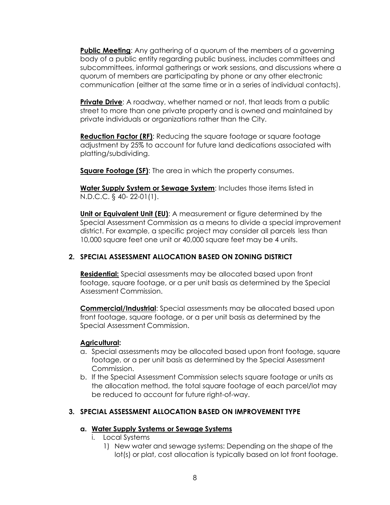**Public Meeting**: Any gathering of a quorum of the members of a governing body of a public entity regarding public business, includes committees and subcommittees, informal gatherings or work sessions, and discussions where a quorum of members are participating by phone or any other electronic communication (either at the same time or in a series of individual contacts).

**Private Drive**: A roadway, whether named or not, that leads from a public street to more than one private property and is owned and maintained by private individuals or organizations rather than the City.

Reduction Factor (RF): Reducing the square footage or square footage adjustment by 25% to account for future land dedications associated with platting/subdividing.

**Square Footage (SF)**: The area in which the property consumes.

**Water Supply System or Sewage System**: Includes those items listed in N.D.C.C. § 40- 22-01(1).

**Unit or Equivalent Unit (EU):** A measurement or figure determined by the Special Assessment Commission as a means to divide a special improvement district. For example, a specific project may consider all parcels less than 10,000 square feet one unit or 40,000 square feet may be 4 units.

# **2. SPECIAL ASSESSMENT ALLOCATION BASED ON ZONING DISTRICT**

**Residential:** Special assessments may be allocated based upon front footage, square footage, or a per unit basis as determined by the Special Assessment Commission.

**Commercial/Industrial**: Special assessments may be allocated based upon front footage, square footage, or a per unit basis as determined by the Special Assessment Commission.

## **Agricultural:**

- a. Special assessments may be allocated based upon front footage, square footage, or a per unit basis as determined by the Special Assessment Commission.
- b. If the Special Assessment Commission selects square footage or units as the allocation method, the total square footage of each parcel/lot may be reduced to account for future right-of-way.

## **3. SPECIAL ASSESSMENT ALLOCATION BASED ON IMPROVEMENT TYPE**

## **a. Water Supply Systems or Sewage Systems**

- i. Local Systems
	- 1) New water and sewage systems: Depending on the shape of the lot(s) or plat, cost allocation is typically based on lot front footage.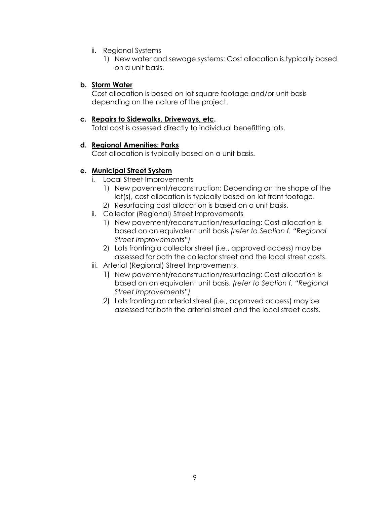- ii. Regional Systems
	- 1) New water and sewage systems: Cost allocation is typically based on a unit basis.

#### **b. Storm Water**

Cost allocation is based on lot square footage and/or unit basis depending on the nature of the project.

#### **c. Repairs to Sidewalks, Driveways, etc.**

Total cost is assessed directly to individual benefitting lots.

#### **d. Regional Amenities: Parks**

Cost allocation is typically based on a unit basis.

# **e. Municipal Street System**

- i. Local Street Improvements
	- 1) New pavement/reconstruction: Depending on the shape of the lot(s), cost allocation is typically based on lot front footage.
	- 2) Resurfacing cost allocation is based on a unit basis.
- ii. Collector (Regional) Street Improvements
	- 1) New pavement/reconstruction/resurfacing: Cost allocation is based on an equivalent unit basis *(refer to Section f. "Regional Street Improvements")*
	- 2) Lots fronting a collector street (i.e., approved access) may be assessed for both the collector street and the local street costs.
- iii. Arterial (Regional) Street Improvements.
	- 1) New pavement/reconstruction/resurfacing: Cost allocation is based on an equivalent unit basis. *(refer to Section f. "Regional Street Improvements")*
	- 2) Lots fronting an arterial street (i.e., approved access) may be assessed for both the arterial street and the local street costs.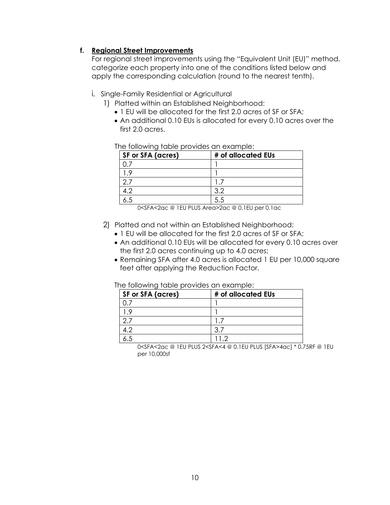## **f. Regional Street Improvements**

For regional street improvements using the "Equivalent Unit (EU)" method, categorize each property into one of the conditions listed below and apply the corresponding calculation (round to the nearest tenth).

## i. Single-Family Residential or Agricultural

- 1) Platted within an Established Neighborhood:
	- 1 EU will be allocated for the first 2.0 acres of SF or SFA;
	- An additional 0.10 EUs is allocated for every 0.10 acres over the first 2.0 acres.

#### The following table provides an example:

| SF or SFA (acres) | # of allocated EUs |
|-------------------|--------------------|
|                   |                    |
|                   |                    |
|                   |                    |
|                   | っつ                 |
|                   |                    |

0<SFA<2ac @ 1EU PLUS Area>2ac @ 0.1EU per 0.1ac

#### 2) Platted and not within an Established Neighborhood:

- 1 EU will be allocated for the first 2.0 acres of SF or SFA;
- An additional 0.10 EUs will be allocated for every 0.10 acres over the first 2.0 acres continuing up to 4.0 acres;
- Remaining SFA after 4.0 acres is allocated 1 EU per 10,000 square feet after applying the Reduction Factor.

#### The following table provides an example:

| <b>SF or SFA (acres)</b> | # of allocated EUs |
|--------------------------|--------------------|
|                          |                    |
|                          |                    |
|                          |                    |
|                          |                    |
|                          |                    |

0<SFA<2ac @ 1EU PLUS 2<SFA<4 @ 0.1EU PLUS [SFA>4ac] \* 0.75RF @ 1EU per 10,000sf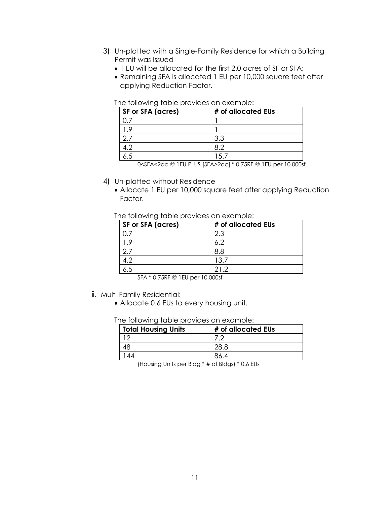- 3) Un-platted with a Single-Family Residence for which a Building Permit was Issued
	- 1 EU will be allocated for the first 2.0 acres of SF or SFA;
	- Remaining SFA is allocated 1 EU per 10,000 square feet after applying Reduction Factor.

| The following table provides an example: |  |  |
|------------------------------------------|--|--|

| <b>SF or SFA (acres)</b> | # of allocated EUs |
|--------------------------|--------------------|
|                          |                    |
| $\circ$                  |                    |
|                          | 3.3                |
| 19                       | 8.2                |
|                          |                    |

0<SFA<2ac @ 1EU PLUS [SFA>2ac] \* 0.75RF @ 1EU per 10,000sf

- 4) Un-platted without Residence
	- Allocate 1 EU per 10,000 square feet after applying Reduction Factor.

#### The following table provides an example:

| <b>SF or SFA (acres)</b> | # of allocated EUs |
|--------------------------|--------------------|
|                          | 2.3                |
| q                        |                    |
|                          | 8.8                |
|                          | 13.7               |
|                          | 212                |

SFA \* 0.75RF @ 1EU per 10,000sf

- ii. Multi-Family Residential:
	- Allocate 0.6 EUs to every housing unit.

The following table provides an example:

| <b>Total Housing Units</b> | # of allocated EUs |
|----------------------------|--------------------|
|                            |                    |
|                            |                    |
| 44                         |                    |

(Housing Units per Bldg \* # of Bldgs) \* 0.6 EUs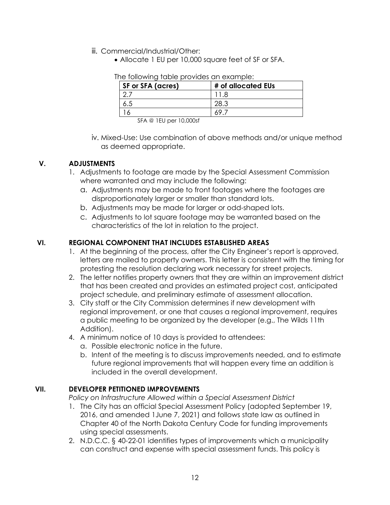- iii. Commercial/Industrial/Other:
	- Allocate 1 EU per 10,000 square feet of SF or SFA.

| The following table provides an example: |  |
|------------------------------------------|--|

SFA @ 1EU per 10,000sf

iv. Mixed-Use: Use combination of above methods and/or unique method as deemed appropriate.

## **V. ADJUSTMENTS**

- 1. Adjustments to footage are made by the Special Assessment Commission where warranted and may include the following:
	- a. Adjustments may be made to front footages where the footages are disproportionately larger or smaller than standard lots.
	- b. Adjustments may be made for larger or odd-shaped lots.
	- c. Adjustments to lot square footage may be warranted based on the characteristics of the lot in relation to the project.

## **VI. REGIONAL COMPONENT THAT INCLUDES ESTABLISHED AREAS**

- 1. At the beginning of the process, after the City Engineer's report is approved, letters are mailed to property owners. This letter is consistent with the timing for protesting the resolution declaring work necessary for street projects.
- 2. The letter notifies property owners that they are within an improvement district that has been created and provides an estimated project cost, anticipated project schedule, and preliminary estimate of assessment allocation.
- 3. City staff or the City Commission determines if new development with regional improvement, or one that causes a regional improvement, requires a public meeting to be organized by the developer (e.g., The Wilds 11th Addition).
- 4. A minimum notice of 10 days is provided to attendees:
	- a. Possible electronic notice in the future.
	- b. Intent of the meeting is to discuss improvements needed, and to estimate future regional improvements that will happen every time an addition is included in the overall development.

## **VII. DEVELOPER PETITIONED IMPROVEMENTS**

*Policy on Infrastructure Allowed within a Special Assessment District* 

- 1. The City has an official Special Assessment Policy (adopted September 19, 2016, and amended 1June 7, 2021) and follows state law as outlined in Chapter 40 of the North Dakota Century Code for funding improvements using special assessments.
- 2. N.D.C.C. § 40-22-01 identifies types of improvements which a municipality can construct and expense with special assessment funds. This policy is